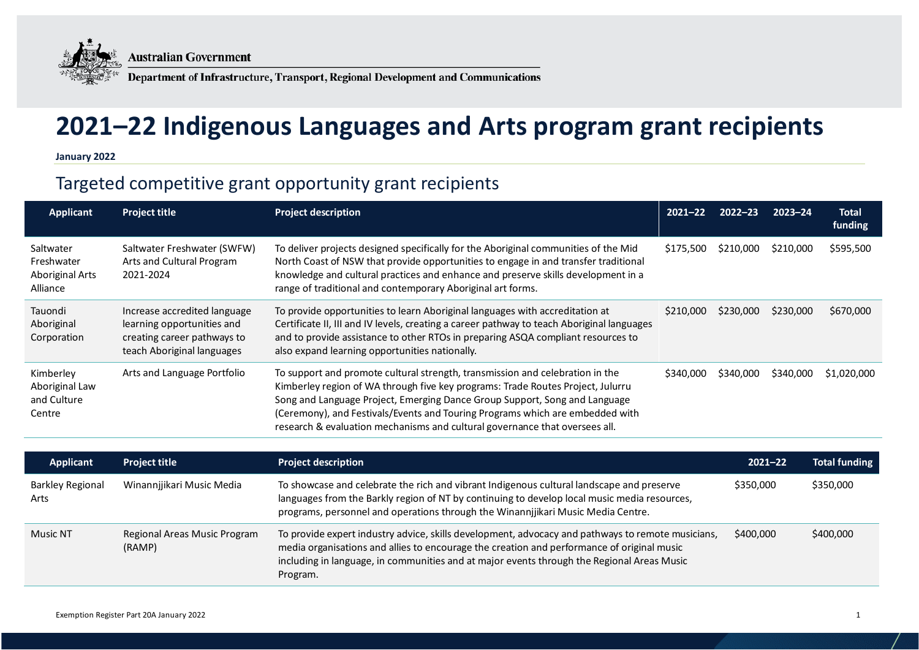

**Australian Government** 

Department of Infrastructure, Transport, Regional Development and Communications

## **2021–22 Indigenous Languages and Arts program grant recipients**

**January 2022**

## Targeted competitive grant opportunity grant recipients

| <b>Applicant</b>                                              | <b>Project title</b>                                                                                                    | <b>Project description</b>                                                                                                                                                                                                                                                                                                                                                                                     | $2021 - 22$ | $2022 - 23$ | $2023 - 24$ | <b>Total</b><br>funding |
|---------------------------------------------------------------|-------------------------------------------------------------------------------------------------------------------------|----------------------------------------------------------------------------------------------------------------------------------------------------------------------------------------------------------------------------------------------------------------------------------------------------------------------------------------------------------------------------------------------------------------|-------------|-------------|-------------|-------------------------|
| Saltwater<br>Freshwater<br><b>Aboriginal Arts</b><br>Alliance | Saltwater Freshwater (SWFW)<br>Arts and Cultural Program<br>2021-2024                                                   | To deliver projects designed specifically for the Aboriginal communities of the Mid<br>North Coast of NSW that provide opportunities to engage in and transfer traditional<br>knowledge and cultural practices and enhance and preserve skills development in a<br>range of traditional and contemporary Aboriginal art forms.                                                                                 | \$175,500   | \$210,000   | \$210,000   | \$595,500               |
| Tauondi<br>Aboriginal<br>Corporation                          | Increase accredited language<br>learning opportunities and<br>creating career pathways to<br>teach Aboriginal languages | To provide opportunities to learn Aboriginal languages with accreditation at<br>Certificate II, III and IV levels, creating a career pathway to teach Aboriginal languages<br>and to provide assistance to other RTOs in preparing ASQA compliant resources to<br>also expand learning opportunities nationally.                                                                                               | \$210,000   | \$230,000   | \$230,000   | \$670,000               |
| Kimberley<br>Aboriginal Law<br>and Culture<br>Centre          | Arts and Language Portfolio                                                                                             | To support and promote cultural strength, transmission and celebration in the<br>Kimberley region of WA through five key programs: Trade Routes Project, Julurru<br>Song and Language Project, Emerging Dance Group Support, Song and Language<br>(Ceremony), and Festivals/Events and Touring Programs which are embedded with<br>research & evaluation mechanisms and cultural governance that oversees all. | \$340,000   | \$340,000   | \$340,000   | \$1,020,000             |

| Applicant                       | <b>Project title</b>                   | <b>Project description</b>                                                                                                                                                                                                                                                                                | $2021 - 22$ | <b>Total funding</b> |
|---------------------------------|----------------------------------------|-----------------------------------------------------------------------------------------------------------------------------------------------------------------------------------------------------------------------------------------------------------------------------------------------------------|-------------|----------------------|
| <b>Barkley Regional</b><br>Arts | Winannjjikari Music Media              | To showcase and celebrate the rich and vibrant Indigenous cultural landscape and preserve<br>languages from the Barkly region of NT by continuing to develop local music media resources,<br>programs, personnel and operations through the Winannjjikari Music Media Centre.                             | \$350,000   | \$350,000            |
| Music NT                        | Regional Areas Music Program<br>(RAMP) | To provide expert industry advice, skills development, advocacy and pathways to remote musicians,<br>media organisations and allies to encourage the creation and performance of original music<br>including in language, in communities and at major events through the Regional Areas Music<br>Program. | \$400,000   | \$400,000            |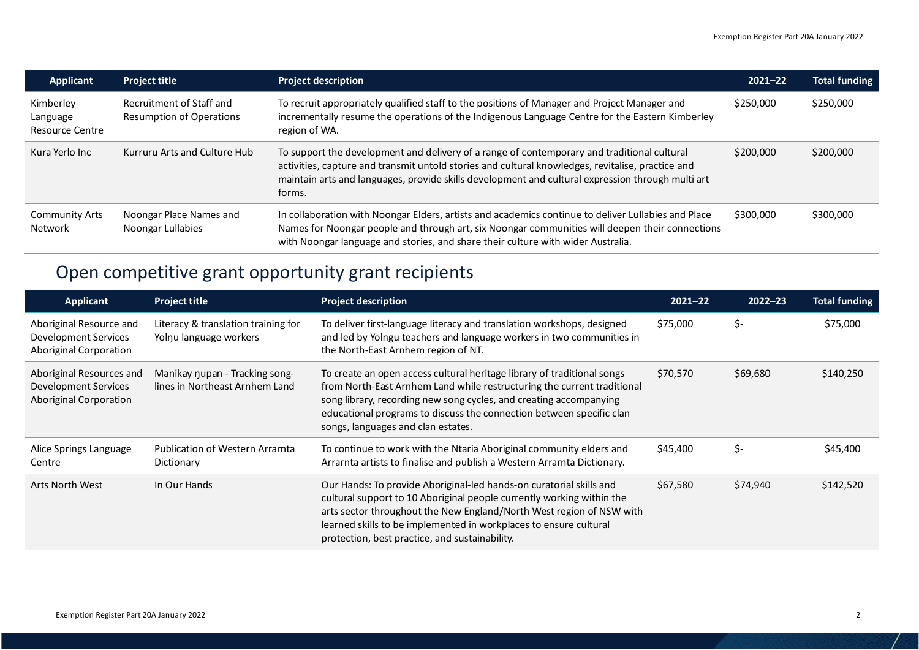| <b>Applicant</b>                                | <b>Project title</b>                                        | <b>Project description</b>                                                                                                                                                                                                                                                                                      | $2021 - 22$ | <b>Total funding</b> |
|-------------------------------------------------|-------------------------------------------------------------|-----------------------------------------------------------------------------------------------------------------------------------------------------------------------------------------------------------------------------------------------------------------------------------------------------------------|-------------|----------------------|
| Kimberley<br>Language<br><b>Resource Centre</b> | Recruitment of Staff and<br><b>Resumption of Operations</b> | To recruit appropriately qualified staff to the positions of Manager and Project Manager and<br>incrementally resume the operations of the Indigenous Language Centre for the Eastern Kimberley<br>region of WA.                                                                                                | \$250,000   | \$250,000            |
| Kura Yerlo Inc                                  | Kurruru Arts and Culture Hub                                | To support the development and delivery of a range of contemporary and traditional cultural<br>activities, capture and transmit untold stories and cultural knowledges, revitalise, practice and<br>maintain arts and languages, provide skills development and cultural expression through multi art<br>forms. | \$200,000   | \$200,000            |
| <b>Community Arts</b><br>Network                | Noongar Place Names and<br>Noongar Lullabies                | In collaboration with Noongar Elders, artists and academics continue to deliver Lullabies and Place<br>Names for Noongar people and through art, six Noongar communities will deepen their connections<br>with Noongar language and stories, and share their culture with wider Australia.                      | \$300,000   | \$300,000            |

## Open competitive grant opportunity grant recipients

| <b>Applicant</b>                                                           | <b>Project title</b>                                             | <b>Project description</b>                                                                                                                                                                                                                                                                                                                  | $2021 - 22$ | $2022 - 23$ | <b>Total funding</b> |
|----------------------------------------------------------------------------|------------------------------------------------------------------|---------------------------------------------------------------------------------------------------------------------------------------------------------------------------------------------------------------------------------------------------------------------------------------------------------------------------------------------|-------------|-------------|----------------------|
| Aboriginal Resource and<br>Development Services<br>Aboriginal Corporation  | Literacy & translation training for<br>Yolnu language workers    | To deliver first-language literacy and translation workshops, designed<br>and led by Yolngu teachers and language workers in two communities in<br>the North-East Arnhem region of NT.                                                                                                                                                      | \$75,000    | \$-         | \$75,000             |
| Aboriginal Resources and<br>Development Services<br>Aboriginal Corporation | Manikay nupan - Tracking song-<br>lines in Northeast Arnhem Land | To create an open access cultural heritage library of traditional songs<br>from North-East Arnhem Land while restructuring the current traditional<br>song library, recording new song cycles, and creating accompanying<br>educational programs to discuss the connection between specific clan<br>songs, languages and clan estates.      | \$70,570    | \$69,680    | \$140,250            |
| Alice Springs Language<br>Centre                                           | <b>Publication of Western Arramta</b><br>Dictionary              | To continue to work with the Ntaria Aboriginal community elders and<br>Arrarnta artists to finalise and publish a Western Arrarnta Dictionary.                                                                                                                                                                                              | \$45,400    | \$-         | \$45,400             |
| Arts North West                                                            | In Our Hands                                                     | Our Hands: To provide Aboriginal-led hands-on curatorial skills and<br>cultural support to 10 Aboriginal people currently working within the<br>arts sector throughout the New England/North West region of NSW with<br>learned skills to be implemented in workplaces to ensure cultural<br>protection, best practice, and sustainability. | \$67,580    | \$74,940    | \$142,520            |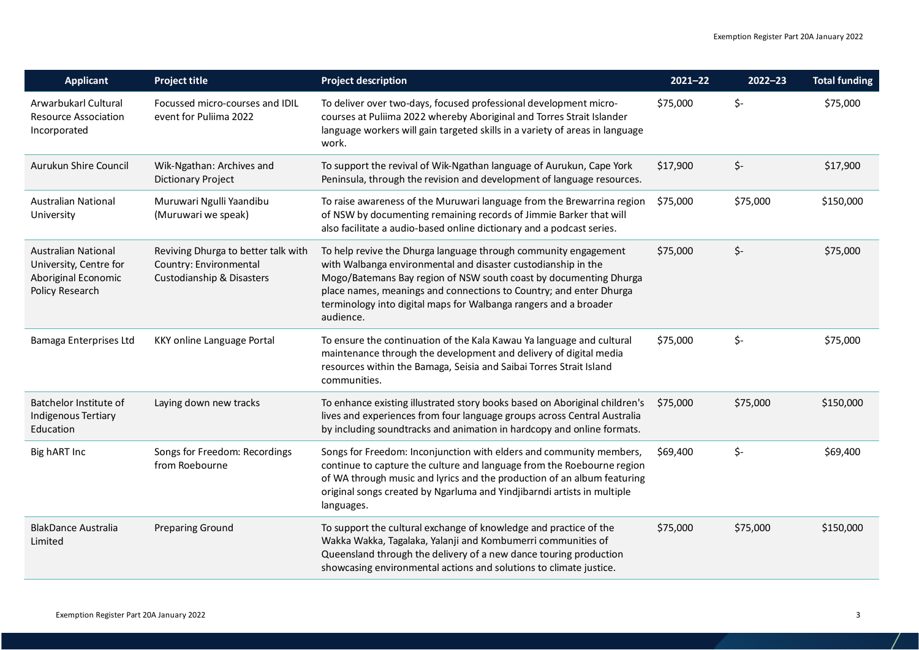| <b>Applicant</b>                                                                               | <b>Project title</b>                                                                       | <b>Project description</b>                                                                                                                                                                                                                                                                                                                                   | $2021 - 22$ | $2022 - 23$ | <b>Total funding</b> |
|------------------------------------------------------------------------------------------------|--------------------------------------------------------------------------------------------|--------------------------------------------------------------------------------------------------------------------------------------------------------------------------------------------------------------------------------------------------------------------------------------------------------------------------------------------------------------|-------------|-------------|----------------------|
| Arwarbukarl Cultural<br><b>Resource Association</b><br>Incorporated                            | Focussed micro-courses and IDIL<br>event for Puliima 2022                                  | To deliver over two-days, focused professional development micro-<br>courses at Puliima 2022 whereby Aboriginal and Torres Strait Islander<br>language workers will gain targeted skills in a variety of areas in language<br>work.                                                                                                                          | \$75,000    | \$-         | \$75,000             |
| Aurukun Shire Council                                                                          | Wik-Ngathan: Archives and<br><b>Dictionary Project</b>                                     | To support the revival of Wik-Ngathan language of Aurukun, Cape York<br>Peninsula, through the revision and development of language resources.                                                                                                                                                                                                               | \$17,900    | \$-         | \$17,900             |
| <b>Australian National</b><br>University                                                       | Muruwari Ngulli Yaandibu<br>(Muruwari we speak)                                            | To raise awareness of the Muruwari language from the Brewarrina region<br>of NSW by documenting remaining records of Jimmie Barker that will<br>also facilitate a audio-based online dictionary and a podcast series.                                                                                                                                        | \$75,000    | \$75,000    | \$150,000            |
| <b>Australian National</b><br>University, Centre for<br>Aboriginal Economic<br>Policy Research | Reviving Dhurga to better talk with<br>Country: Environmental<br>Custodianship & Disasters | To help revive the Dhurga language through community engagement<br>with Walbanga environmental and disaster custodianship in the<br>Mogo/Batemans Bay region of NSW south coast by documenting Dhurga<br>place names, meanings and connections to Country; and enter Dhurga<br>terminology into digital maps for Walbanga rangers and a broader<br>audience. | \$75,000    | \$-         | \$75,000             |
| Bamaga Enterprises Ltd                                                                         | KKY online Language Portal                                                                 | To ensure the continuation of the Kala Kawau Ya language and cultural<br>maintenance through the development and delivery of digital media<br>resources within the Bamaga, Seisia and Saibai Torres Strait Island<br>communities.                                                                                                                            | \$75,000    | \$-         | \$75,000             |
| Batchelor Institute of<br>Indigenous Tertiary<br>Education                                     | Laying down new tracks                                                                     | To enhance existing illustrated story books based on Aboriginal children's<br>lives and experiences from four language groups across Central Australia<br>by including soundtracks and animation in hardcopy and online formats.                                                                                                                             | \$75,000    | \$75,000    | \$150,000            |
| Big hART Inc                                                                                   | Songs for Freedom: Recordings<br>from Roebourne                                            | Songs for Freedom: Inconjunction with elders and community members,<br>continue to capture the culture and language from the Roebourne region<br>of WA through music and lyrics and the production of an album featuring<br>original songs created by Ngarluma and Yindjibarndi artists in multiple<br>languages.                                            | \$69,400    | \$-         | \$69,400             |
| <b>BlakDance Australia</b><br>Limited                                                          | <b>Preparing Ground</b>                                                                    | To support the cultural exchange of knowledge and practice of the<br>Wakka Wakka, Tagalaka, Yalanji and Kombumerri communities of<br>Queensland through the delivery of a new dance touring production<br>showcasing environmental actions and solutions to climate justice.                                                                                 | \$75,000    | \$75,000    | \$150,000            |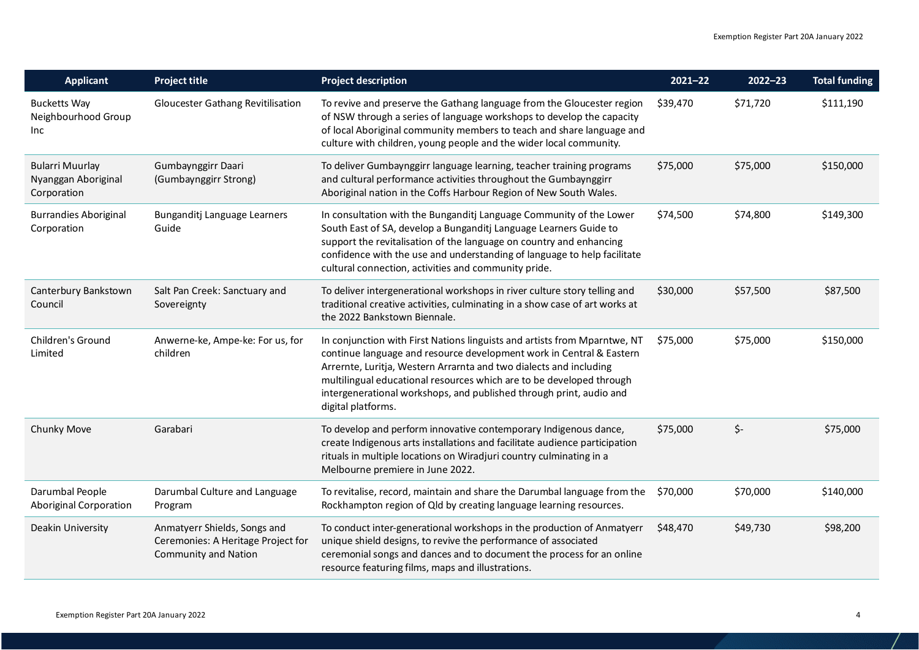| <b>Applicant</b>                                             | <b>Project title</b>                                                                              | <b>Project description</b>                                                                                                                                                                                                                                                                                                                                                                   | $2021 - 22$ | $2022 - 23$ | <b>Total funding</b> |
|--------------------------------------------------------------|---------------------------------------------------------------------------------------------------|----------------------------------------------------------------------------------------------------------------------------------------------------------------------------------------------------------------------------------------------------------------------------------------------------------------------------------------------------------------------------------------------|-------------|-------------|----------------------|
| <b>Bucketts Way</b><br>Neighbourhood Group<br>Inc            | <b>Gloucester Gathang Revitilisation</b>                                                          | To revive and preserve the Gathang language from the Gloucester region<br>of NSW through a series of language workshops to develop the capacity<br>of local Aboriginal community members to teach and share language and<br>culture with children, young people and the wider local community.                                                                                               | \$39,470    | \$71,720    | \$111,190            |
| <b>Bularri Muurlay</b><br>Nyanggan Aboriginal<br>Corporation | Gumbaynggirr Daari<br>(Gumbaynggirr Strong)                                                       | To deliver Gumbaynggirr language learning, teacher training programs<br>and cultural performance activities throughout the Gumbaynggirr<br>Aboriginal nation in the Coffs Harbour Region of New South Wales.                                                                                                                                                                                 | \$75,000    | \$75,000    | \$150,000            |
| <b>Burrandies Aboriginal</b><br>Corporation                  | Bunganditj Language Learners<br>Guide                                                             | In consultation with the Bunganditj Language Community of the Lower<br>South East of SA, develop a Bunganditj Language Learners Guide to<br>support the revitalisation of the language on country and enhancing<br>confidence with the use and understanding of language to help facilitate<br>cultural connection, activities and community pride.                                          | \$74,500    | \$74,800    | \$149,300            |
| Canterbury Bankstown<br>Council                              | Salt Pan Creek: Sanctuary and<br>Sovereignty                                                      | To deliver intergenerational workshops in river culture story telling and<br>traditional creative activities, culminating in a show case of art works at<br>the 2022 Bankstown Biennale.                                                                                                                                                                                                     | \$30,000    | \$57,500    | \$87,500             |
| Children's Ground<br>Limited                                 | Anwerne-ke, Ampe-ke: For us, for<br>children                                                      | In conjunction with First Nations linguists and artists from Mparntwe, NT<br>continue language and resource development work in Central & Eastern<br>Arrernte, Luritja, Western Arrarnta and two dialects and including<br>multilingual educational resources which are to be developed through<br>intergenerational workshops, and published through print, audio and<br>digital platforms. | \$75,000    | \$75,000    | \$150,000            |
| Chunky Move                                                  | Garabari                                                                                          | To develop and perform innovative contemporary Indigenous dance,<br>create Indigenous arts installations and facilitate audience participation<br>rituals in multiple locations on Wiradjuri country culminating in a<br>Melbourne premiere in June 2022.                                                                                                                                    | \$75,000    | \$-         | \$75,000             |
| Darumbal People<br>Aboriginal Corporation                    | Darumbal Culture and Language<br>Program                                                          | To revitalise, record, maintain and share the Darumbal language from the<br>Rockhampton region of Qld by creating language learning resources.                                                                                                                                                                                                                                               | \$70,000    | \$70,000    | \$140,000            |
| Deakin University                                            | Anmatyerr Shields, Songs and<br>Ceremonies: A Heritage Project for<br><b>Community and Nation</b> | To conduct inter-generational workshops in the production of Anmatyerr<br>unique shield designs, to revive the performance of associated<br>ceremonial songs and dances and to document the process for an online<br>resource featuring films, maps and illustrations.                                                                                                                       | \$48,470    | \$49,730    | \$98,200             |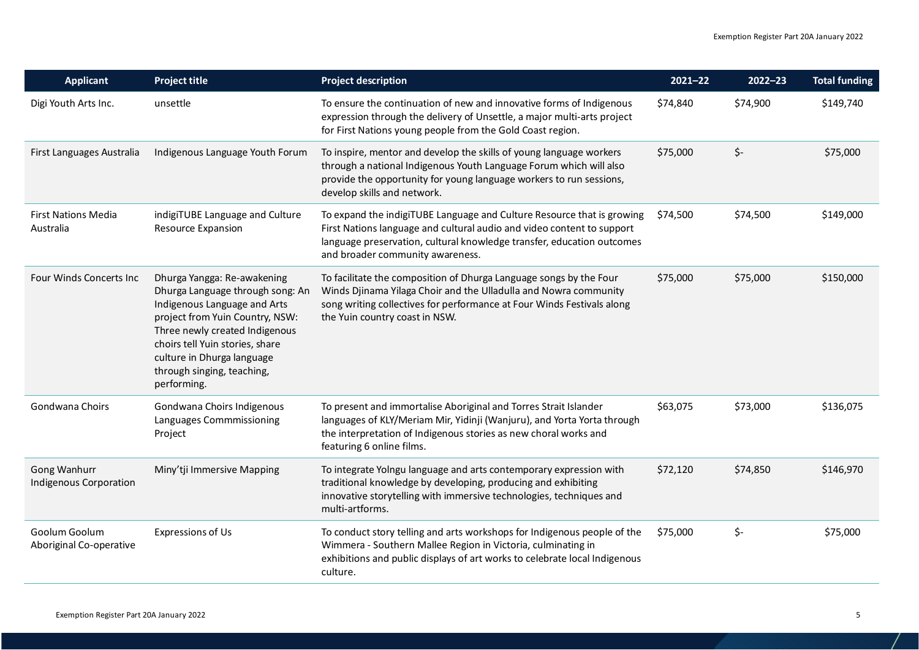| <b>Applicant</b>                              | <b>Project title</b>                                                                                                                                                                                                                                                               | <b>Project description</b>                                                                                                                                                                                                                                     | $2021 - 22$ | $2022 - 23$ | <b>Total funding</b> |
|-----------------------------------------------|------------------------------------------------------------------------------------------------------------------------------------------------------------------------------------------------------------------------------------------------------------------------------------|----------------------------------------------------------------------------------------------------------------------------------------------------------------------------------------------------------------------------------------------------------------|-------------|-------------|----------------------|
| Digi Youth Arts Inc.                          | unsettle                                                                                                                                                                                                                                                                           | To ensure the continuation of new and innovative forms of Indigenous<br>expression through the delivery of Unsettle, a major multi-arts project<br>for First Nations young people from the Gold Coast region.                                                  | \$74,840    | \$74,900    | \$149,740            |
| First Languages Australia                     | Indigenous Language Youth Forum                                                                                                                                                                                                                                                    | To inspire, mentor and develop the skills of young language workers<br>through a national Indigenous Youth Language Forum which will also<br>provide the opportunity for young language workers to run sessions,<br>develop skills and network.                | \$75,000    | \$-         | \$75,000             |
| <b>First Nations Media</b><br>Australia       | indigiTUBE Language and Culture<br><b>Resource Expansion</b>                                                                                                                                                                                                                       | To expand the indigiTUBE Language and Culture Resource that is growing<br>First Nations language and cultural audio and video content to support<br>language preservation, cultural knowledge transfer, education outcomes<br>and broader community awareness. | \$74,500    | \$74,500    | \$149,000            |
| Four Winds Concerts Inc                       | Dhurga Yangga: Re-awakening<br>Dhurga Language through song: An<br>Indigenous Language and Arts<br>project from Yuin Country, NSW:<br>Three newly created Indigenous<br>choirs tell Yuin stories, share<br>culture in Dhurga language<br>through singing, teaching,<br>performing. | To facilitate the composition of Dhurga Language songs by the Four<br>Winds Djinama Yilaga Choir and the Ulladulla and Nowra community<br>song writing collectives for performance at Four Winds Festivals along<br>the Yuin country coast in NSW.             | \$75,000    | \$75,000    | \$150,000            |
| Gondwana Choirs                               | Gondwana Choirs Indigenous<br>Languages Commmissioning<br>Project                                                                                                                                                                                                                  | To present and immortalise Aboriginal and Torres Strait Islander<br>languages of KLY/Meriam Mir, Yidinji (Wanjuru), and Yorta Yorta through<br>the interpretation of Indigenous stories as new choral works and<br>featuring 6 online films.                   | \$63,075    | \$73,000    | \$136,075            |
| Gong Wanhurr<br><b>Indigenous Corporation</b> | Miny'tji Immersive Mapping                                                                                                                                                                                                                                                         | To integrate Yolngu language and arts contemporary expression with<br>traditional knowledge by developing, producing and exhibiting<br>innovative storytelling with immersive technologies, techniques and<br>multi-artforms.                                  | \$72,120    | \$74,850    | \$146,970            |
| Goolum Goolum<br>Aboriginal Co-operative      | Expressions of Us                                                                                                                                                                                                                                                                  | To conduct story telling and arts workshops for Indigenous people of the<br>Wimmera - Southern Mallee Region in Victoria, culminating in<br>exhibitions and public displays of art works to celebrate local Indigenous<br>culture.                             | \$75,000    | \$-         | \$75,000             |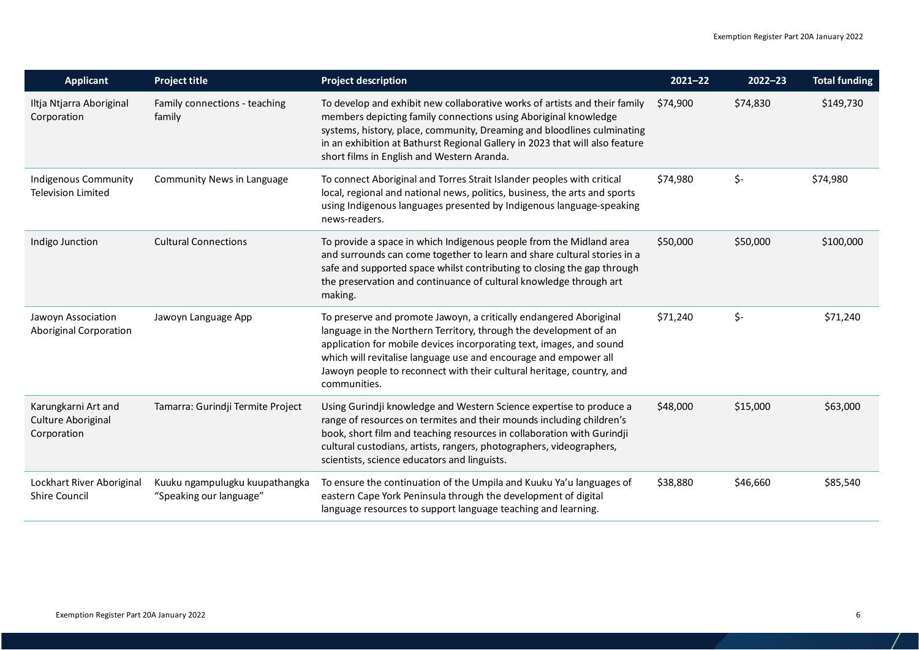| <b>Applicant</b>                                         | <b>Project title</b>                                      | <b>Project description</b>                                                                                                                                                                                                                                                                                                                                                   | $2021 - 22$ | $2022 - 23$ | <b>Total funding</b> |
|----------------------------------------------------------|-----------------------------------------------------------|------------------------------------------------------------------------------------------------------------------------------------------------------------------------------------------------------------------------------------------------------------------------------------------------------------------------------------------------------------------------------|-------------|-------------|----------------------|
| Iltja Ntjarra Aboriginal<br>Corporation                  | Family connections - teaching<br>family                   | To develop and exhibit new collaborative works of artists and their family<br>members depicting family connections using Aboriginal knowledge<br>systems, history, place, community, Dreaming and bloodlines culminating<br>in an exhibition at Bathurst Regional Gallery in 2023 that will also feature<br>short films in English and Western Aranda.                       | \$74,900    | \$74,830    | \$149,730            |
| Indigenous Community<br><b>Television Limited</b>        | Community News in Language                                | To connect Aboriginal and Torres Strait Islander peoples with critical<br>local, regional and national news, politics, business, the arts and sports<br>using Indigenous languages presented by Indigenous language-speaking<br>news-readers.                                                                                                                                | \$74,980    | \$-         | \$74,980             |
| Indigo Junction                                          | <b>Cultural Connections</b>                               | To provide a space in which Indigenous people from the Midland area<br>and surrounds can come together to learn and share cultural stories in a<br>safe and supported space whilst contributing to closing the gap through<br>the preservation and continuance of cultural knowledge through art<br>making.                                                                  | \$50,000    | \$50,000    | \$100,000            |
| Jawoyn Association<br>Aboriginal Corporation             | Jawoyn Language App                                       | To preserve and promote Jawoyn, a critically endangered Aboriginal<br>language in the Northern Territory, through the development of an<br>application for mobile devices incorporating text, images, and sound<br>which will revitalise language use and encourage and empower all<br>Jawoyn people to reconnect with their cultural heritage, country, and<br>communities. | \$71,240    | \$-         | \$71,240             |
| Karungkarni Art and<br>Culture Aboriginal<br>Corporation | Tamarra: Gurindji Termite Project                         | Using Gurindji knowledge and Western Science expertise to produce a<br>range of resources on termites and their mounds including children's<br>book, short film and teaching resources in collaboration with Gurindji<br>cultural custodians, artists, rangers, photographers, videographers,<br>scientists, science educators and linguists.                                | \$48,000    | \$15,000    | \$63,000             |
| Lockhart River Aboriginal<br><b>Shire Council</b>        | Kuuku ngampulugku kuupathangka<br>"Speaking our language" | To ensure the continuation of the Umpila and Kuuku Ya'u languages of<br>eastern Cape York Peninsula through the development of digital<br>language resources to support language teaching and learning.                                                                                                                                                                      | \$38,880    | \$46,660    | \$85,540             |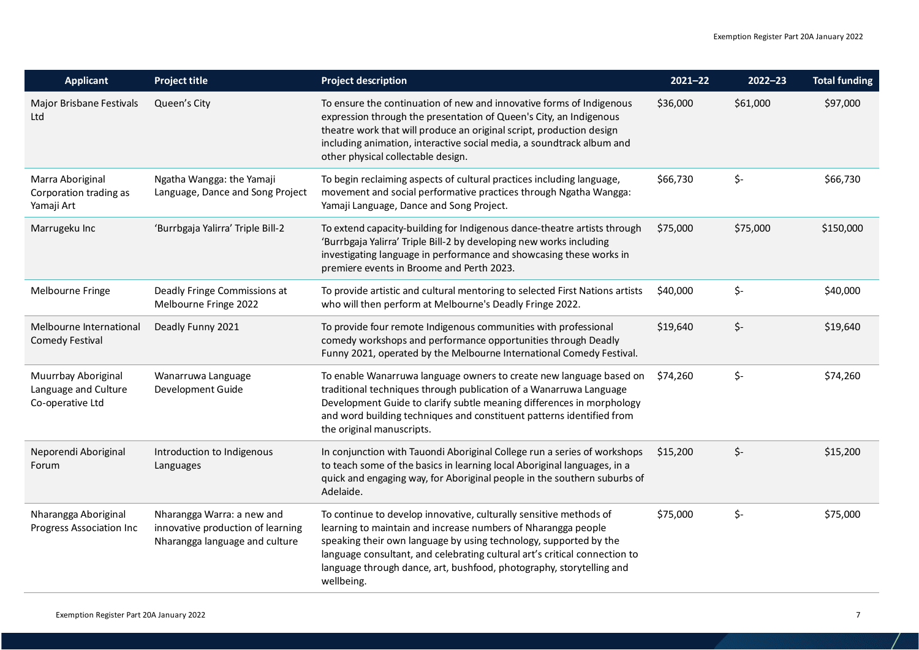| <b>Applicant</b>                                                | <b>Project title</b>                                                                              | <b>Project description</b>                                                                                                                                                                                                                                                                                                                                                   | $2021 - 22$ | $2022 - 23$ | <b>Total funding</b> |
|-----------------------------------------------------------------|---------------------------------------------------------------------------------------------------|------------------------------------------------------------------------------------------------------------------------------------------------------------------------------------------------------------------------------------------------------------------------------------------------------------------------------------------------------------------------------|-------------|-------------|----------------------|
| Major Brisbane Festivals<br>Ltd                                 | Queen's City                                                                                      | To ensure the continuation of new and innovative forms of Indigenous<br>expression through the presentation of Queen's City, an Indigenous<br>theatre work that will produce an original script, production design<br>including animation, interactive social media, a soundtrack album and<br>other physical collectable design.                                            | \$36,000    | \$61,000    | \$97,000             |
| Marra Aboriginal<br>Corporation trading as<br>Yamaji Art        | Ngatha Wangga: the Yamaji<br>Language, Dance and Song Project                                     | To begin reclaiming aspects of cultural practices including language,<br>movement and social performative practices through Ngatha Wangga:<br>Yamaji Language, Dance and Song Project.                                                                                                                                                                                       | \$66,730    | \$-         | \$66,730             |
| Marrugeku Inc                                                   | 'Burrbgaja Yalirra' Triple Bill-2                                                                 | To extend capacity-building for Indigenous dance-theatre artists through<br>'Burrbgaja Yalirra' Triple Bill-2 by developing new works including<br>investigating language in performance and showcasing these works in<br>premiere events in Broome and Perth 2023.                                                                                                          | \$75,000    | \$75,000    | \$150,000            |
| Melbourne Fringe                                                | Deadly Fringe Commissions at<br>Melbourne Fringe 2022                                             | To provide artistic and cultural mentoring to selected First Nations artists<br>who will then perform at Melbourne's Deadly Fringe 2022.                                                                                                                                                                                                                                     | \$40,000    | \$-         | \$40,000             |
| Melbourne International<br><b>Comedy Festival</b>               | Deadly Funny 2021                                                                                 | To provide four remote Indigenous communities with professional<br>comedy workshops and performance opportunities through Deadly<br>Funny 2021, operated by the Melbourne International Comedy Festival.                                                                                                                                                                     | \$19,640    | \$-         | \$19,640             |
| Muurrbay Aboriginal<br>Language and Culture<br>Co-operative Ltd | Wanarruwa Language<br>Development Guide                                                           | To enable Wanarruwa language owners to create new language based on<br>traditional techniques through publication of a Wanarruwa Language<br>Development Guide to clarify subtle meaning differences in morphology<br>and word building techniques and constituent patterns identified from<br>the original manuscripts.                                                     | \$74,260    | \$-         | \$74,260             |
| Neporendi Aboriginal<br>Forum                                   | Introduction to Indigenous<br>Languages                                                           | In conjunction with Tauondi Aboriginal College run a series of workshops<br>to teach some of the basics in learning local Aboriginal languages, in a<br>quick and engaging way, for Aboriginal people in the southern suburbs of<br>Adelaide.                                                                                                                                | \$15,200    | \$-         | \$15,200             |
| Nharangga Aboriginal<br><b>Progress Association Inc</b>         | Nharangga Warra: a new and<br>innovative production of learning<br>Nharangga language and culture | To continue to develop innovative, culturally sensitive methods of<br>learning to maintain and increase numbers of Nharangga people<br>speaking their own language by using technology, supported by the<br>language consultant, and celebrating cultural art's critical connection to<br>language through dance, art, bushfood, photography, storytelling and<br>wellbeing. | \$75,000    | \$-         | \$75,000             |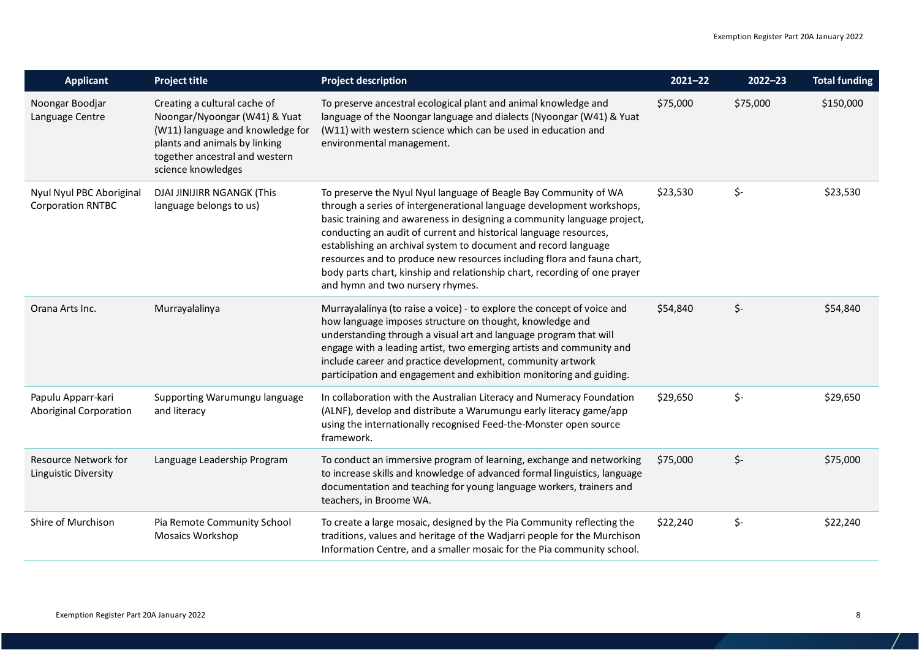| <b>Applicant</b>                                           | <b>Project title</b>                                                                                                                                                                       | <b>Project description</b>                                                                                                                                                                                                                                                                                                                                                                                                                                                                                                                               | $2021 - 22$ | $2022 - 23$ | <b>Total funding</b> |
|------------------------------------------------------------|--------------------------------------------------------------------------------------------------------------------------------------------------------------------------------------------|----------------------------------------------------------------------------------------------------------------------------------------------------------------------------------------------------------------------------------------------------------------------------------------------------------------------------------------------------------------------------------------------------------------------------------------------------------------------------------------------------------------------------------------------------------|-------------|-------------|----------------------|
| Noongar Boodjar<br>Language Centre                         | Creating a cultural cache of<br>Noongar/Nyoongar (W41) & Yuat<br>(W11) language and knowledge for<br>plants and animals by linking<br>together ancestral and western<br>science knowledges | To preserve ancestral ecological plant and animal knowledge and<br>language of the Noongar language and dialects (Nyoongar (W41) & Yuat<br>(W11) with western science which can be used in education and<br>environmental management.                                                                                                                                                                                                                                                                                                                    | \$75,000    | \$75,000    | \$150,000            |
| Nyul Nyul PBC Aboriginal<br><b>Corporation RNTBC</b>       | DJAI JINIJIRR NGANGK (This<br>language belongs to us)                                                                                                                                      | To preserve the Nyul Nyul language of Beagle Bay Community of WA<br>through a series of intergenerational language development workshops,<br>basic training and awareness in designing a community language project,<br>conducting an audit of current and historical language resources,<br>establishing an archival system to document and record language<br>resources and to produce new resources including flora and fauna chart,<br>body parts chart, kinship and relationship chart, recording of one prayer<br>and hymn and two nursery rhymes. | \$23,530    | \$-         | \$23,530             |
| Orana Arts Inc.                                            | Murrayalalinya                                                                                                                                                                             | Murrayalalinya (to raise a voice) - to explore the concept of voice and<br>how language imposes structure on thought, knowledge and<br>understanding through a visual art and language program that will<br>engage with a leading artist, two emerging artists and community and<br>include career and practice development, community artwork<br>participation and engagement and exhibition monitoring and guiding.                                                                                                                                    | \$54,840    | \$-         | \$54,840             |
| Papulu Apparr-kari<br>Aboriginal Corporation               | Supporting Warumungu language<br>and literacy                                                                                                                                              | In collaboration with the Australian Literacy and Numeracy Foundation<br>(ALNF), develop and distribute a Warumungu early literacy game/app<br>using the internationally recognised Feed-the-Monster open source<br>framework.                                                                                                                                                                                                                                                                                                                           | \$29,650    | \$-         | \$29,650             |
| <b>Resource Network for</b><br><b>Linguistic Diversity</b> | Language Leadership Program                                                                                                                                                                | To conduct an immersive program of learning, exchange and networking<br>to increase skills and knowledge of advanced formal linguistics, language<br>documentation and teaching for young language workers, trainers and<br>teachers, in Broome WA.                                                                                                                                                                                                                                                                                                      | \$75,000    | \$-         | \$75,000             |
| Shire of Murchison                                         | Pia Remote Community School<br>Mosaics Workshop                                                                                                                                            | To create a large mosaic, designed by the Pia Community reflecting the<br>traditions, values and heritage of the Wadjarri people for the Murchison<br>Information Centre, and a smaller mosaic for the Pia community school.                                                                                                                                                                                                                                                                                                                             | \$22,240    | \$-         | \$22,240             |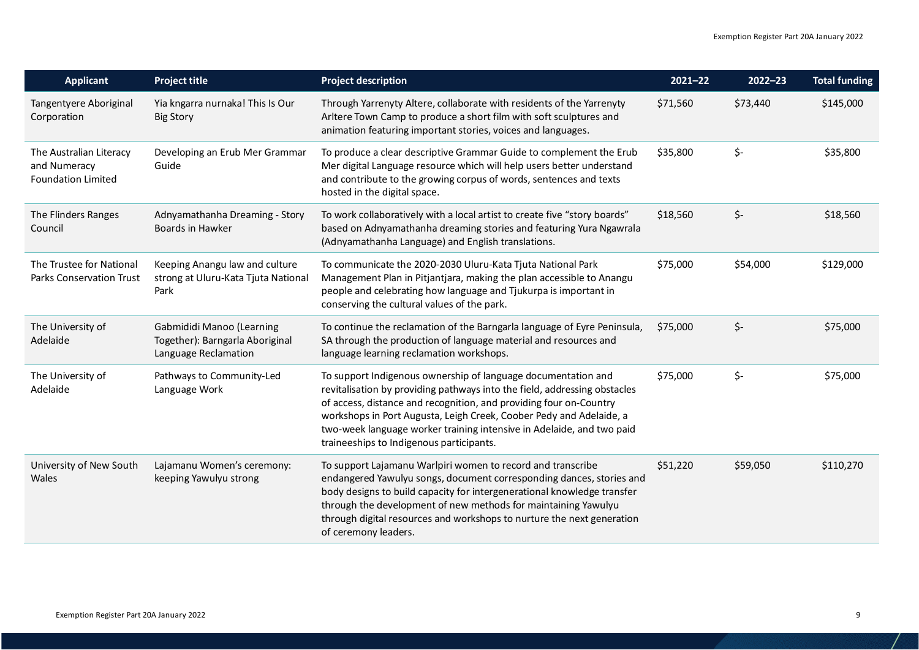| <b>Applicant</b>                                                     | <b>Project title</b>                                                                 | <b>Project description</b>                                                                                                                                                                                                                                                                                                                                                                                   | $2021 - 22$ | $2022 - 23$ | <b>Total funding</b> |
|----------------------------------------------------------------------|--------------------------------------------------------------------------------------|--------------------------------------------------------------------------------------------------------------------------------------------------------------------------------------------------------------------------------------------------------------------------------------------------------------------------------------------------------------------------------------------------------------|-------------|-------------|----------------------|
| Tangentyere Aboriginal<br>Corporation                                | Yia kngarra nurnaka! This Is Our<br><b>Big Story</b>                                 | Through Yarrenyty Altere, collaborate with residents of the Yarrenyty<br>Arltere Town Camp to produce a short film with soft sculptures and<br>animation featuring important stories, voices and languages.                                                                                                                                                                                                  | \$71,560    | \$73,440    | \$145,000            |
| The Australian Literacy<br>and Numeracy<br><b>Foundation Limited</b> | Developing an Erub Mer Grammar<br>Guide                                              | To produce a clear descriptive Grammar Guide to complement the Erub<br>Mer digital Language resource which will help users better understand<br>and contribute to the growing corpus of words, sentences and texts<br>hosted in the digital space.                                                                                                                                                           | \$35,800    | \$-         | \$35,800             |
| The Flinders Ranges<br>Council                                       | Adnyamathanha Dreaming - Story<br>Boards in Hawker                                   | To work collaboratively with a local artist to create five "story boards"<br>based on Adnyamathanha dreaming stories and featuring Yura Ngawrala<br>(Adnyamathanha Language) and English translations.                                                                                                                                                                                                       | \$18,560    | \$-         | \$18,560             |
| The Trustee for National<br><b>Parks Conservation Trust</b>          | Keeping Anangu law and culture<br>strong at Uluru-Kata Tjuta National<br>Park        | To communicate the 2020-2030 Uluru-Kata Tjuta National Park<br>Management Plan in Pitjantjara, making the plan accessible to Anangu<br>people and celebrating how language and Tjukurpa is important in<br>conserving the cultural values of the park.                                                                                                                                                       | \$75,000    | \$54,000    | \$129,000            |
| The University of<br>Adelaide                                        | Gabmididi Manoo (Learning<br>Together): Barngarla Aboriginal<br>Language Reclamation | To continue the reclamation of the Barngarla language of Eyre Peninsula,<br>SA through the production of language material and resources and<br>language learning reclamation workshops.                                                                                                                                                                                                                     | \$75,000    | \$-         | \$75,000             |
| The University of<br>Adelaide                                        | Pathways to Community-Led<br>Language Work                                           | To support Indigenous ownership of language documentation and<br>revitalisation by providing pathways into the field, addressing obstacles<br>of access, distance and recognition, and providing four on-Country<br>workshops in Port Augusta, Leigh Creek, Coober Pedy and Adelaide, a<br>two-week language worker training intensive in Adelaide, and two paid<br>traineeships to Indigenous participants. | \$75,000    | \$-         | \$75,000             |
| University of New South<br>Wales                                     | Lajamanu Women's ceremony:<br>keeping Yawulyu strong                                 | To support Lajamanu Warlpiri women to record and transcribe<br>endangered Yawulyu songs, document corresponding dances, stories and<br>body designs to build capacity for intergenerational knowledge transfer<br>through the development of new methods for maintaining Yawulyu<br>through digital resources and workshops to nurture the next generation<br>of ceremony leaders.                           | \$51,220    | \$59,050    | \$110,270            |